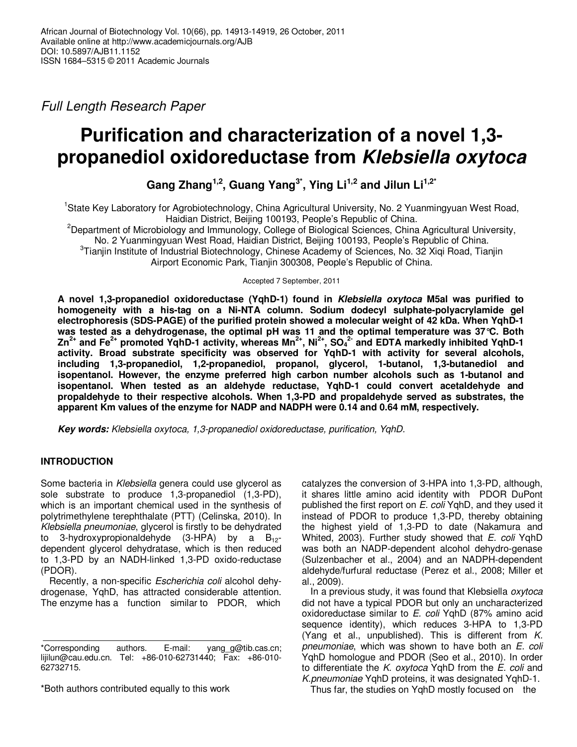Full Length Research Paper

# **Purification and characterization of a novel 1,3 propanediol oxidoreductase from** *Klebsiella oxytoca*

**Gang Zhang1,2, Guang Yang3\*, Ying Li1,2 and Jilun Li1,2\***

<sup>1</sup>State Key Laboratory for Agrobiotechnology, China Agricultural University, No. 2 Yuanmingyuan West Road, Haidian District, Beijing 100193, People's Republic of China.

<sup>2</sup>Department of Microbiology and Immunology, College of Biological Sciences, China Agricultural University, No. 2 Yuanmingyuan West Road, Haidian District, Beijing 100193, People's Republic of China. <sup>3</sup>Tianjin Institute of Industrial Biotechnology, Chinese Academy of Sciences, No. 32 Xiqi Road, Tianjin

Airport Economic Park, Tianjin 300308, People's Republic of China.

Accepted 7 September, 2011

**A novel 1,3-propanediol oxidoreductase (YqhD-1) found in** *Klebsiella oxytoca* **M5al was purified to homogeneity with a his-tag on a Ni-NTA column. Sodium dodecyl sulphate-polyacrylamide gel electrophoresis (SDS-PAGE) of the purified protein showed a molecular weight of 42 kDa. When YqhD-1 was tested as a dehydrogenase, the optimal pH was 11 and the optimal temperature was 37°C. Both Zn2+ and Fe2+ promoted YqhD-1 activity, whereas Mn2+, Ni2+, SO<sup>4</sup> 2- and EDTA markedly inhibited YqhD-1 activity. Broad substrate specificity was observed for YqhD-1 with activity for several alcohols, including 1,3-propanediol, 1,2-propanediol, propanol, glycerol, 1-butanol, 1,3-butanediol and isopentanol. However, the enzyme preferred high carbon number alcohols such as 1-butanol and isopentanol. When tested as an aldehyde reductase, YqhD-1 could convert acetaldehyde and propaldehyde to their respective alcohols. When 1,3-PD and propaldehyde served as substrates, the apparent Km values of the enzyme for NADP and NADPH were 0.14 and 0.64 mM, respectively.** 

*Key words:* Klebsiella oxytoca, 1,3-propanediol oxidoreductase, purification, YqhD.

# **INTRODUCTION**

Some bacteria in Klebsiella genera could use glycerol as sole substrate to produce 1,3-propanediol (1,3-PD), which is an important chemical used in the synthesis of polytrimethylene terephthalate (PTT) (Celinska, 2010). In Klebsiella pneumoniae, glycerol is firstly to be dehydrated to 3-hydroxypropionaldehyde  $(3-HPA)$  by a  $B_{12}$ dependent glycerol dehydratase, which is then reduced to 1,3-PD by an NADH-linked 1,3-PD oxido-reductase (PDOR).

Recently, a non-specific Escherichia coli alcohol dehydrogenase, YqhD, has attracted considerable attention. The enzyme has a function similar to PDOR, which

\*Both authors contributed equally to this work

catalyzes the conversion of 3-HPA into 1,3-PD, although, it shares little amino acid identity with PDOR DuPont published the first report on E. coli YqhD, and they used it instead of PDOR to produce 1,3-PD, thereby obtaining the highest yield of 1,3-PD to date (Nakamura and Whited, 2003). Further study showed that E. coli YqhD was both an NADP-dependent alcohol dehydro-genase (Sulzenbacher et al., 2004) and an NADPH-dependent aldehyde/furfural reductase (Perez et al., 2008; Miller et al., 2009).

In a previous study, it was found that Klebsiella oxytoca did not have a typical PDOR but only an uncharacterized oxidoreductase similar to E. coli YqhD (87% amino acid sequence identity), which reduces 3-HPA to 1,3-PD (Yang et al., unpublished). This is different from  $K$ . pneumoniae, which was shown to have both an E. coli YqhD homologue and PDOR (Seo et al., 2010). In order to differentiate the K. oxytoca YqhD from the E. coli and K.pneumoniae YqhD proteins, it was designated YqhD-1.

Thus far, the studies on YqhD mostly focused on the

<sup>\*</sup>Corresponding authors. E-mail: yang\_g@tib.cas.cn; lijilun@cau.edu.cn. Tel: +86-010-62731440; Fax: +86-010- 62732715.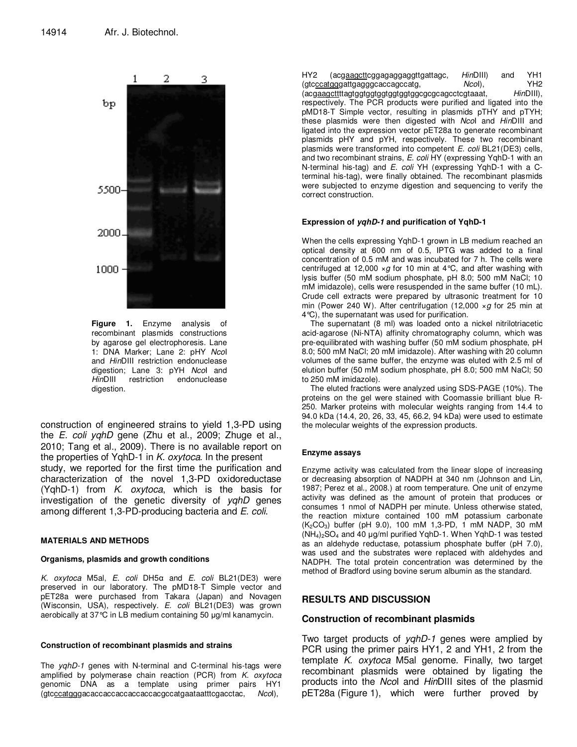

**Figure 1.** Enzyme analysis of recombinant plasmids constructions by agarose gel electrophoresis. Lane 1: DNA Marker; Lane 2: pHY NcoI and HinDIII restriction endonuclease digestion; Lane 3: pYH Ncol and HinDIII restriction endonuclease digestion.

construction of engineered strains to yield 1,3-PD using the E. coli yqhD gene (Zhu et al., 2009; Zhuge et al., 2010; Tang et al., 2009). There is no available report on the properties of YqhD-1 in K. oxytoca. In the present study, we reported for the first time the purification and characterization of the novel 1,3-PD oxidoreductase  $(YqhD-1)$  from K. oxytoca, which is the basis for investigation of the genetic diversity of yqhD genes among different 1,3-PD-producing bacteria and E. coli.

## **MATERIALS AND METHODS**

## **Organisms, plasmids and growth conditions**

K. oxytoca M5al, E. coli DH5α and E. coli BL21(DE3) were preserved in our laboratory. The pMD18-T Simple vector and pET28a were purchased from Takara (Japan) and Novagen (Wisconsin, USA), respectively. E. coli BL21(DE3) was grown aerobically at 37°C in LB medium containing 50 µg/ml kanamycin.

## **Construction of recombinant plasmids and strains**

The *yghD-1* genes with N-terminal and C-terminal his-tags were amplified by polymerase chain reaction (PCR) from  $K.$  oxytoca genomic DNA as a template using primer pairs HY1 (gtcccatgggacaccaccaccaccaccacgccatgaataatttcgacctac, NcoI),

HY2 (acgaagcttcggagaggaggttgattagc, HinDIII) and YH1 (gtcccatgggattgagggcaccagccatg, NcoI), YH2 (acgaagcttttagtggtggtggtggtggtggcgcgcagcctcgtaaat, HinDIII), respectively. The PCR products were purified and ligated into the pMD18-T Simple vector, resulting in plasmids pTHY and pTYH; these plasmids were then digested with Ncol and HinDIII and ligated into the expression vector pET28a to generate recombinant plasmids pHY and pYH, respectively. These two recombinant plasmids were transformed into competent E. coli BL21(DE3) cells, and two recombinant strains, E. coli HY (expressing YqhD-1 with an N-terminal his-tag) and E. coli YH (expressing YqhD-1 with a Cterminal his-tag), were finally obtained. The recombinant plasmids were subjected to enzyme digestion and sequencing to verify the correct construction.

## **Expression of** *yqhD-1* **and purification of YqhD-1**

When the cells expressing YqhD-1 grown in LB medium reached an optical density at 600 nm of 0.5, IPTG was added to a final concentration of 0.5 mM and was incubated for 7 h. The cells were centrifuged at 12,000  $\times g$  for 10 min at 4°C, and after washing with lysis buffer (50 mM sodium phosphate, pH 8.0; 500 mM NaCl; 10 mM imidazole), cells were resuspended in the same buffer (10 mL). Crude cell extracts were prepared by ultrasonic treatment for 10 min (Power 240 W). After centrifugation (12,000  $\times g$  for 25 min at 4°C), the supernatant was used for purification.

The supernatant (8 ml) was loaded onto a nickel nitrilotriacetic acid-agarose (Ni-NTA) affinity chromatography column, which was pre-equilibrated with washing buffer (50 mM sodium phosphate, pH 8.0; 500 mM NaCl; 20 mM imidazole). After washing with 20 column volumes of the same buffer, the enzyme was eluted with 2.5 ml of elution buffer (50 mM sodium phosphate, pH 8.0; 500 mM NaCl; 50 to 250 mM imidazole).

The eluted fractions were analyzed using SDS-PAGE (10%). The proteins on the gel were stained with Coomassie brilliant blue R-250. Marker proteins with molecular weights ranging from 14.4 to 94.0 kDa (14.4, 20, 26, 33, 45, 66.2, 94 kDa) were used to estimate the molecular weights of the expression products.

## **Enzyme assays**

Enzyme activity was calculated from the linear slope of increasing or decreasing absorption of NADPH at 340 nm (Johnson and Lin, 1987; Perez et al., 2008.) at room temperature. One unit of enzyme activity was defined as the amount of protein that produces or consumes 1 nmol of NADPH per minute. Unless otherwise stated, the reaction mixture contained 100 mM potassium carbonate  $(K_2CO_3)$  buffer (pH 9.0), 100 mM 1,3-PD, 1 mM NADP, 30 mM  $(NH_4)_2SO_4$  and 40  $\mu$ g/ml purified YqhD-1. When YqhD-1 was tested as an aldehyde reductase, potassium phosphate buffer (pH 7.0), was used and the substrates were replaced with aldehydes and NADPH. The total protein concentration was determined by the method of Bradford using bovine serum albumin as the standard.

## **RESULTS AND DISCUSSION**

## **Construction of recombinant plasmids**

Two target products of *yghD-1* genes were amplied by PCR using the primer pairs HY1, 2 and YH1, 2 from the template  $K.$  oxytoca M5al genome. Finally, two target recombinant plasmids were obtained by ligating the products into the NcoI and HinDIII sites of the plasmid pET28a (Figure 1), which were further proved by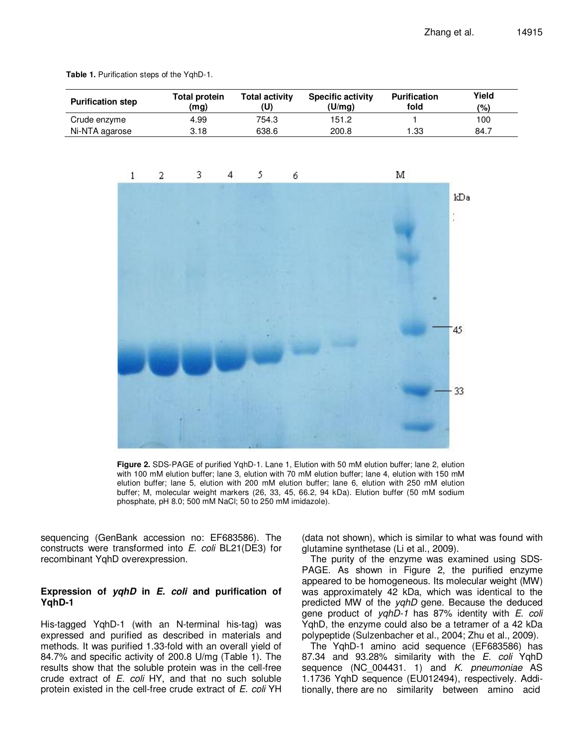| <b>Purification step</b> | <b>Total protein</b><br>(mg) | <b>Total activity</b><br>(U) | <b>Specific activity</b><br>(U/mq) | <b>Purification</b><br>fold | Yield<br>(%) |
|--------------------------|------------------------------|------------------------------|------------------------------------|-----------------------------|--------------|
| Crude enzyme             | 4.99                         | 754.3                        | 151.2                              |                             | 100          |
| Ni-NTA agarose           | 3.18                         | 638.6                        | 200.8                              | l .33                       | 84.7         |

**Table 1.** Purification steps of the YqhD-1.



**Figure 2.** SDS-PAGE of purified YqhD-1. Lane 1, Elution with 50 mM elution buffer; lane 2, elution with 100 mM elution buffer; lane 3, elution with 70 mM elution buffer; lane 4, elution with 150 mM elution buffer; lane 5, elution with 200 mM elution buffer; lane 6, elution with 250 mM elution buffer; M, molecular weight markers (26, 33, 45, 66.2, 94 kDa). Elution buffer (50 mM sodium phosphate, pH 8.0; 500 mM NaCl; 50 to 250 mM imidazole).

sequencing (GenBank accession no: EF683586). The constructs were transformed into E. coli BL21(DE3) for recombinant YqhD overexpression.

# **Expression of** *yqhD* **in** *E. coli* **and purification of YqhD-1**

His-tagged YqhD-1 (with an N-terminal his-tag) was expressed and purified as described in materials and methods. It was purified 1.33-fold with an overall yield of 84.7% and specific activity of 200.8 U/mg (Table 1). The results show that the soluble protein was in the cell-free crude extract of  $E$ . coli HY, and that no such soluble protein existed in the cell-free crude extract of E. coli YH (data not shown), which is similar to what was found with glutamine synthetase (Li et al., 2009).

The purity of the enzyme was examined using SDS-PAGE. As shown in Figure 2, the purified enzyme appeared to be homogeneous. Its molecular weight (MW) was approximately 42 kDa, which was identical to the predicted MW of the yqhD gene. Because the deduced gene product of yqhD-1 has 87% identity with E. coli YqhD, the enzyme could also be a tetramer of a 42 kDa polypeptide (Sulzenbacher et al., 2004; Zhu et al., 2009).

The YqhD-1 amino acid sequence (EF683586) has 87.34 and 93.28% similarity with the E. coli YqhD sequence (NC\_004431. 1) and *K. pneumoniae* AS 1.1736 YqhD sequence (EU012494), respectively. Additionally, there are no similarity between amino acid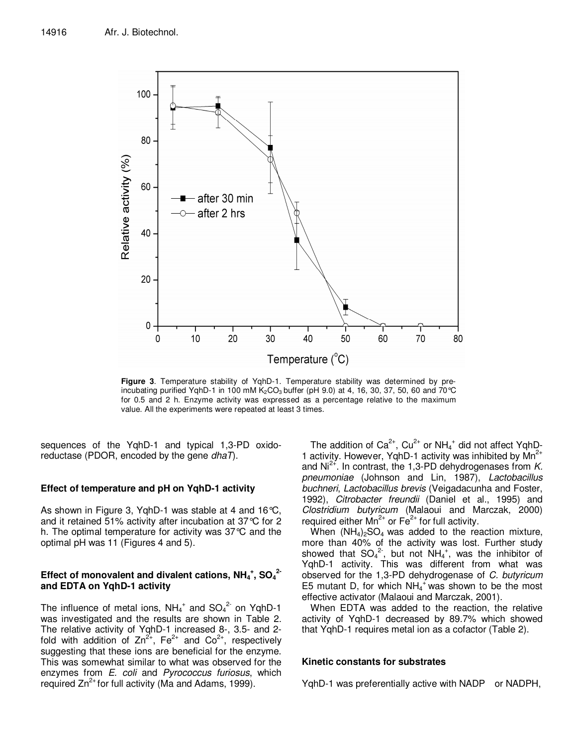

**Figure 3**. Temperature stability of YqhD-1. Temperature stability was determined by preincubating purified YghD-1 in 100 mM  $K_2CO_3$  buffer (pH 9.0) at 4, 16, 30, 37, 50, 60 and 70 °C for 0.5 and 2 h. Enzyme activity was expressed as a percentage relative to the maximum value. All the experiments were repeated at least 3 times.

sequences of the YqhD-1 and typical 1,3-PD oxidoreductase (PDOR, encoded by the gene  $dhaT$ ).

# **Effect of temperature and pH on YqhD-1 activity**

As shown in Figure 3, YqhD-1 was stable at 4 and 16°C, and it retained 51% activity after incubation at 37°C for 2 h. The optimal temperature for activity was 37°C and the optimal pH was 11 (Figures 4 and 5).

# Effect of monovalent and divalent cations, NH<sub>4</sub><sup>+</sup>, SO<sub>4</sub><sup>2</sup> **and EDTA on YqhD-1 activity**

The influence of metal ions,  $NH_4^+$  and  $SO_4^2$  on YqhD-1 was investigated and the results are shown in Table 2. The relative activity of YqhD-1 increased 8-, 3.5- and 2 fold with addition of  $Zn^{2+}$ , Fe<sup>2+</sup> and Co<sup>2+</sup>, respectively suggesting that these ions are beneficial for the enzyme. This was somewhat similar to what was observed for the enzymes from E. coli and Pyrococcus furiosus, which required  $Zn^{2+}$  for full activity (Ma and Adams, 1999).

The addition of Ca<sup>2+</sup>, Cu<sup>2+</sup> or NH<sub>4</sub><sup>+</sup> did not affect YqhD<sub>-</sub> 1 activity. However, YqhD-1 activity was inhibited by Mn<sup>2+</sup> and  $Ni<sup>2+</sup>$ . In contrast, the 1,3-PD dehydrogenases from K. pneumoniae (Johnson and Lin, 1987), Lactobacillus buchneri, Lactobacillus brevis (Veigadacunha and Foster, 1992), Citrobacter freundii (Daniel et al., 1995) and Clostridium butyricum (Malaoui and Marczak, 2000) required either  $Mn^{2+}$  or  $Fe^{2+}$  for full activity.

When  $(NH_4)_2SO_4$  was added to the reaction mixture, more than 40% of the activity was lost. Further study showed that  $SO_4^2$ , but not  $NH_4^+$ , was the inhibitor of YqhD-1 activity. This was different from what was observed for the 1,3-PD dehydrogenase of C. butyricum E5 mutant D, for which  $NH_4^+$  was shown to be the most effective activator (Malaoui and Marczak, 2001).

When EDTA was added to the reaction, the relative activity of YqhD-1 decreased by 89.7% which showed that YqhD-1 requires metal ion as a cofactor (Table 2).

## **Kinetic constants for substrates**

YqhD-1 was preferentially active with NADP or NADPH,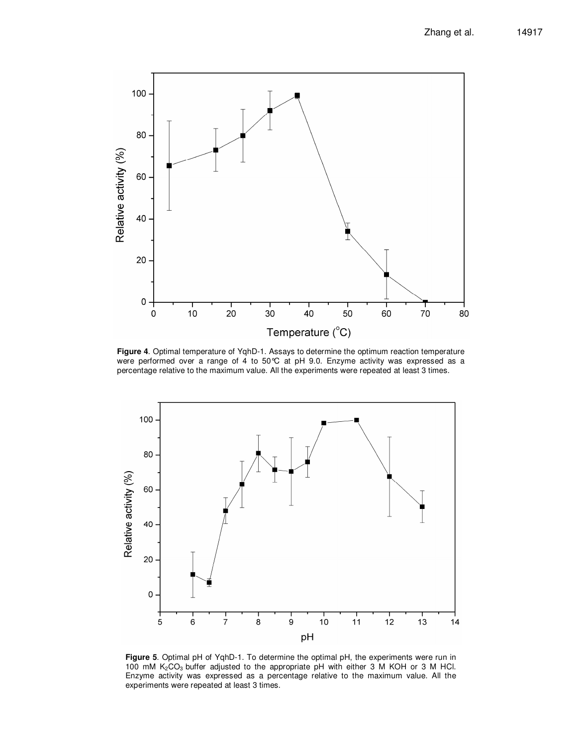

**Figure 4**. Optimal temperature of YqhD-1. Assays to determine the optimum reaction temperature were performed over a range of 4 to 50°C at pH 9.0. Enzyme activity was expressed as a percentage relative to the maximum value. All the experiments were repeated at least 3 times.



**Figure 5**. Optimal pH of YqhD-1. To determine the optimal pH, the experiments were run in 100 mM  $K_2CO_3$  buffer adjusted to the appropriate pH with either 3 M KOH or 3 M HCl. Enzyme activity was expressed as a percentage relative to the maximum value. All the experiments were repeated at least 3 times.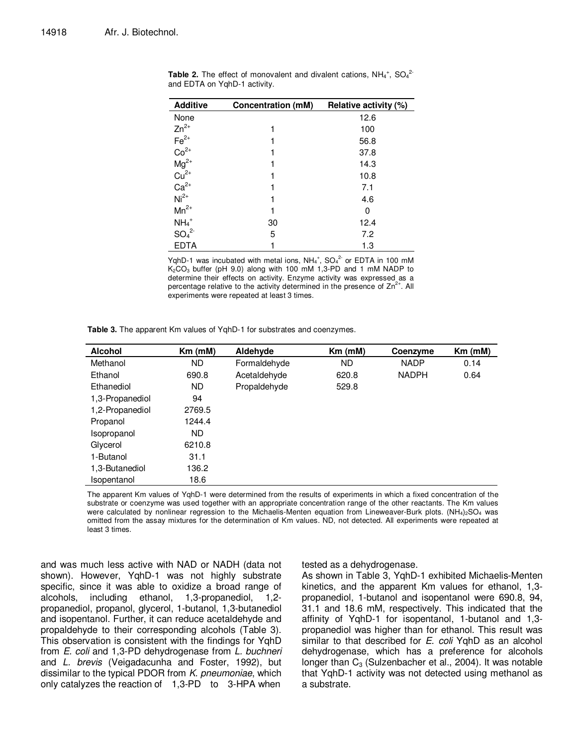| <b>Additive</b>                                                                                               | <b>Concentration (mM)</b> | Relative activity (%) |  |  |
|---------------------------------------------------------------------------------------------------------------|---------------------------|-----------------------|--|--|
| None                                                                                                          |                           | 12.6                  |  |  |
| $Zn^{2+}$                                                                                                     |                           | 100                   |  |  |
|                                                                                                               |                           | 56.8                  |  |  |
| $Fe^{2+}$<br>Co <sup>2+</sup><br>Mg <sup>2+</sup><br>Cu <sup>2+</sup><br>Ca <sup>2+</sup><br>Ni <sup>2+</sup> |                           | 37.8                  |  |  |
|                                                                                                               |                           | 14.3                  |  |  |
|                                                                                                               |                           | 10.8                  |  |  |
|                                                                                                               |                           | 7.1                   |  |  |
|                                                                                                               |                           | 4.6                   |  |  |
| $Mn^{2+}$                                                                                                     |                           | 0                     |  |  |
| $NH_4$ <sup>+</sup>                                                                                           | 30                        | 12.4                  |  |  |
| SO <sub>4</sub> <sup>2</sup>                                                                                  | 5                         | 7.2                   |  |  |
| <b>EDTA</b>                                                                                                   |                           | 1.3                   |  |  |

**Table 2.** The effect of monovalent and divalent cations,  $NH_4^+$ ,  $SO_4^2$ <sup>2</sup> and EDTA on YqhD-1 activity.

YqhD-1 was incubated with metal ions,  $NH_4^+$ ,  $SO_4^2$  or EDTA in 100 mM  $K<sub>2</sub>CO<sub>3</sub>$  buffer (pH 9.0) along with 100 mM 1,3-PD and 1 mM NADP to determine their effects on activity. Enzyme activity was expressed as a percentage relative to the activity determined in the presence of  $Zn^{2+}$ . All experiments were repeated at least 3 times.

| <b>Alcohol</b>  | $Km$ (mM) | Aldehyde     | $Km$ ( $mM$ ) | Coenzyme     | $Km$ ( $mM$ ) |
|-----------------|-----------|--------------|---------------|--------------|---------------|
| Methanol        | ND.       | Formaldehyde | ND.           | <b>NADP</b>  | 0.14          |
| Ethanol         | 690.8     | Acetaldehyde | 620.8         | <b>NADPH</b> | 0.64          |
| Ethanediol      | ND.       | Propaldehyde | 529.8         |              |               |
| 1,3-Propanediol | 94        |              |               |              |               |
| 1,2-Propanediol | 2769.5    |              |               |              |               |
| Propanol        | 1244.4    |              |               |              |               |
| Isopropanol     | ND.       |              |               |              |               |
| Glycerol        | 6210.8    |              |               |              |               |
| 1-Butanol       | 31.1      |              |               |              |               |
| 1,3-Butanediol  | 136.2     |              |               |              |               |
| Isopentanol     | 18.6      |              |               |              |               |

**Table 3.** The apparent Km values of YqhD-1 for substrates and coenzymes.

The apparent Km values of YqhD-1 were determined from the results of experiments in which a fixed concentration of the substrate or coenzyme was used together with an appropriate concentration range of the other reactants. The Km values were calculated by nonlinear regression to the Michaelis-Menten equation from Lineweaver-Burk plots. (NH<sub>4</sub>)<sub>2</sub>SO<sub>4</sub> was omitted from the assay mixtures for the determination of Km values. ND, not detected. All experiments were repeated at least 3 times.

and was much less active with NAD or NADH (data not shown). However, YqhD-1 was not highly substrate specific, since it was able to oxidize a broad range of alcohols, including ethanol, 1,3-propanediol, 1,2 propanediol, propanol, glycerol, 1-butanol, 1,3-butanediol and isopentanol. Further, it can reduce acetaldehyde and propaldehyde to their corresponding alcohols (Table 3). This observation is consistent with the findings for YqhD from E. coli and 1,3-PD dehydrogenase from L. buchneri and L. brevis (Veigadacunha and Foster, 1992), but dissimilar to the typical PDOR from K. pneumoniae, which only catalyzes the reaction of 1,3-PD to 3-HPA when

tested as a dehydrogenase.

As shown in Table 3, YqhD-1 exhibited Michaelis-Menten kinetics, and the apparent Km values for ethanol, 1,3 propanediol, 1-butanol and isopentanol were 690.8, 94, 31.1 and 18.6 mM, respectively. This indicated that the affinity of YqhD-1 for isopentanol, 1-butanol and 1,3 propanediol was higher than for ethanol. This result was similar to that described for E. coli YqhD as an alcohol dehydrogenase, which has a preference for alcohols longer than  $C_3$  (Sulzenbacher et al., 2004). It was notable that YqhD-1 activity was not detected using methanol as a substrate.